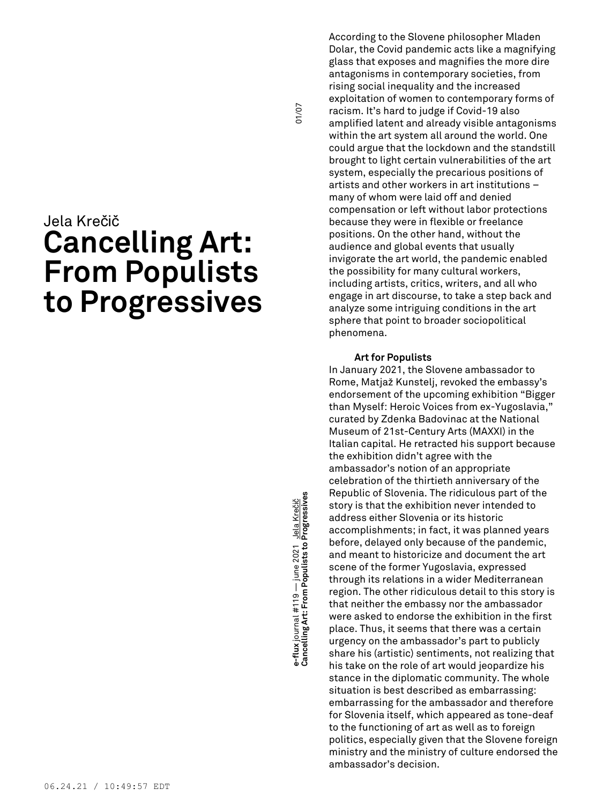# Jela Krečič **Cancelling Art: From Populists to Progressives**

**Cancelling Art: From Populists to Progressives** 01/07 e-flux journal #119 — june 2021 <u>Jela Krečič</u><br>Cancelling Art: From Populists to Progressives **e-flux** journal #119 — june 2021 Jela Krečič

01/07

According to the Slovene philosopher Mladen Dolar, the Covid pandemic acts like a magnifying glass that exposes and magnifies the more dire antagonisms in contemporary societies, from rising social inequality and the increased exploitation of women to contemporary forms of racism. It's hard to judge if Covid-19 also amplified latent and already visible antagonisms within the art system all around the world. One could argue that the lockdown and the standstill brought to light certain vulnerabilities of the art system, especially the precarious positions of artists and other workers in art institutions – many of whom were laid off and denied compensation or left without labor protections because they were in flexible or freelance positions. On the other hand, without the audience and global events that usually invigorate the art world, the pandemic enabled the possibility for many cultural workers, including artists, critics, writers, and all who engage in art discourse, to take a step back and analyze some intriguing conditions in the art sphere that point to broader sociopolitical phenomena.

## **Art for Populists**

In January 2021, the Slovene ambassador to Rome, Matjaž Kunstelj, revoked the embassy's endorsement of the upcoming exhibition "Bigger than Myself: Heroic Voices from ex-Yugoslavia," curated by Zdenka Badovinac at the National Museum of 21st-Century Arts (MAXXI) in the Italian capital. He retracted his support because the exhibition didn't agree with the ambassador's notion of an appropriate celebration of the thirtieth anniversary of the Republic of Slovenia. The ridiculous part of the story is that the exhibition never intended to address either Slovenia or its historic accomplishments; in fact, it was planned years before, delayed only because of the pandemic, and meant to historicize and document the art scene of the former Yugoslavia, expressed through its relations in a wider Mediterranean region. The other ridiculous detail to this story is that neither the embassy nor the ambassador were asked to endorse the exhibition in the first place. Thus, it seems that there was a certain urgency on the ambassador's part to publicly share his (artistic) sentiments, not realizing that his take on the role of art would jeopardize his stance in the diplomatic community. The whole situation is best described as embarrassing: embarrassing for the ambassador and therefore for Slovenia itself, which appeared as tone-deaf to the functioning of art as well as to foreign politics, especially given that the Slovene foreign ministry and the ministry of culture endorsed the ambassador's decision.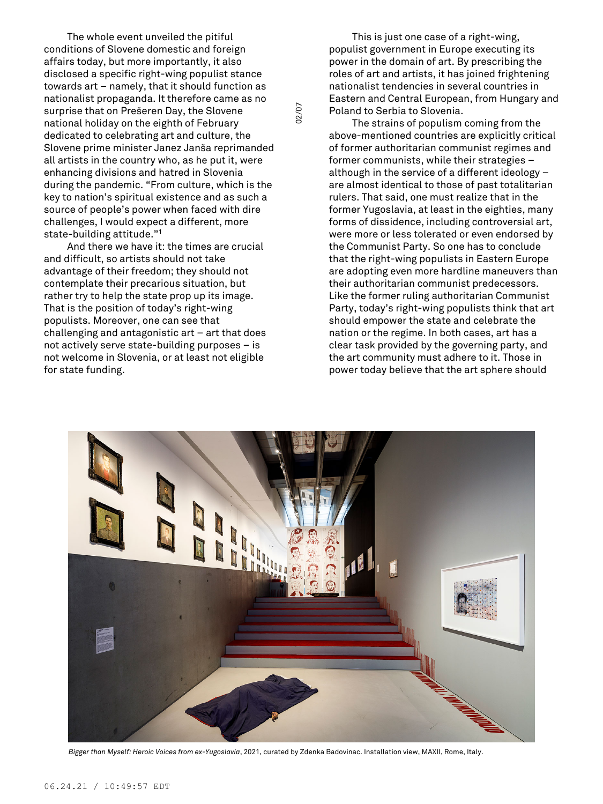The whole event unveiled the pitiful conditions of Slovene domestic and foreign affairs today, but more importantly, it also disclosed a specific right-wing populist stance towards art – namely, that it should function as nationalist propaganda. It therefore came as no surprise that on Prešeren Day, the Slovene national holiday on the eighth of February dedicated to celebrating art and culture, the Slovene prime minister Janez Janša reprimanded all artists in the country who, as he put it, were enhancing divisions and hatred in Slovenia during the pandemic. "From culture, which is the key to nation's spiritual existence and as such a source of people's power when faced with dire challenges, I would expect a different, more state-building attitude." 1

And there we have it: the times are crucial and difficult, so artists should not take advantage of their freedom; they should not contemplate their precarious situation, but rather try to help the state prop up its image. That is the position of today's right-wing populists. Moreover, one can see that challenging and antagonistic art – art that does not actively serve state-building purposes – is not welcome in Slovenia, or at least not eligible for state funding.

This is just one case of a right-wing, populist government in Europe executing its power in the domain of art. By prescribing the roles of art and artists, it has joined frightening nationalist tendencies in several countries in Eastern and Central European, from Hungary and Poland to Serbia to Slovenia.

The strains of populism coming from the above-mentioned countries are explicitly critical of former authoritarian communist regimes and former communists, while their strategies – although in the service of a different ideology – are almost identical to those of past totalitarian rulers. That said, one must realize that in the former Yugoslavia, at least in the eighties, many forms of dissidence, including controversial art, were more or less tolerated or even endorsed by the Communist Party. So one has to conclude that the right-wing populists in Eastern Europe are adopting even more hardline maneuvers than their authoritarian communist predecessors. Like the former ruling authoritarian Communist Party, today's right-wing populists think that art should empower the state and celebrate the nation or the regime. In both cases, art has a clear task provided by the governing party, and the art community must adhere to it. Those in power today believe that the art sphere should



02/07

*Bigger than Myself: Heroic Voices from ex-Yugoslavia*, 2021, curated by Zdenka Badovinac. Installation view, MAXII, Rome, Italy.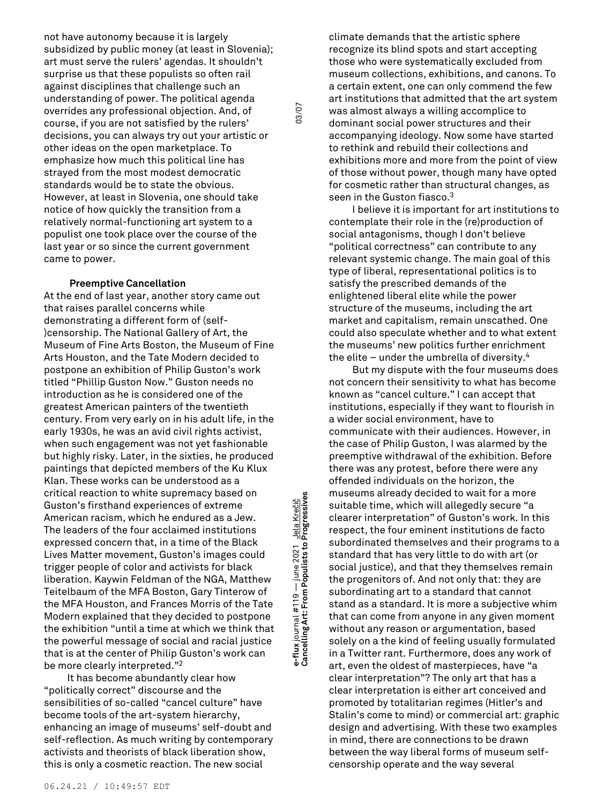not have autonomy because it is largely subsidized by public money (at least in Slovenia); art must serve the rulers' agendas. It shouldn't surprise us that these populists so often rail against disciplines that challenge such an understanding of power. The political agenda overrides any professional objection. And, of course, if you are not satisfied by the rulers' decisions, you can always try out your artistic or other ideas on the open marketplace. To emphasize how much this political line has strayed from the most modest democratic standards would be to state the obvious. However, at least in Slovenia, one should take notice of how quickly the transition from a relatively normal-functioning art system to a populist one took place over the course of the last year or so since the current government came to power.

## **Preemptive Cancellation**

At the end of last year, another story came out that raises parallel concerns while demonstrating a different form of (self- )censorship. The National Gallery of Art, the Museum of Fine Arts Boston, the Museum of Fine Arts Houston, and the Tate Modern decided to postpone an exhibition of Philip Guston's work titled "Phillip Guston Now." Guston needs no introduction as he is considered one of the greatest American painters of the twentieth century. From very early on in his adult life, in the early 1930s, he was an avid civil rights activist, when such engagement was not yet fashionable but highly risky. Later, in the sixties, he produced paintings that depicted members of the Ku Klux Klan. These works can be understood as a critical reaction to white supremacy based on Guston's firsthand experiences of extreme American racism, which he endured as a Jew. The leaders of the four acclaimed institutions expressed concern that, in a time of the Black Lives Matter movement, Guston's images could trigger people of color and activists for black liberation. Kaywin Feldman of the NGA, Matthew Teitelbaum of the MFA Boston, Gary Tinterow of the MFA Houston, and Frances Morris of the Tate Modern explained that they decided to postpone the exhibition "until a time at which we think that the powerful message of social and racial justice that is at the center of Philip Guston's work can be more clearly interpreted."<sup>2</sup>

It has become abundantly clear how "politically correct" discourse and the sensibilities of so-called "cancel culture" have become tools of the art-system hierarchy, enhancing an image of museums' self-doubt and self-reflection. As much writing by contemporary activists and theorists of black liberation show, this is only a cosmetic reaction. The new social

**Cancelling Art: From Populists to Progressives** 03/07 e-flux journal #119 — june 2021 Jela Krečič<br>Cancelling Art: From Populists to Progressives **e-flux** journal #119 — june 2021 Jela Krečič

03/07

climate demands that the artistic sphere recognize its blind spots and start accepting those who were systematically excluded from museum collections, exhibitions, and canons. To a certain extent, one can only commend the few art institutions that admitted that the art system was almost always a willing accomplice to dominant social power structures and their accompanying ideology. Now some have started to rethink and rebuild their collections and exhibitions more and more from the point of view of those without power, though many have opted for cosmetic rather than structural changes, as seen in the Guston fiasco. 3

I believe it is important for art institutions to contemplate their role in the (re)production of social antagonisms, though I don't believe "political correctness" can contribute to any relevant systemic change. The main goal of this type of liberal, representational politics is to satisfy the prescribed demands of the enlightened liberal elite while the power structure of the museums, including the art market and capitalism, remain unscathed. One could also speculate whether and to what extent the museums' new politics further enrichment the elite – under the umbrella of diversity. 4

But my dispute with the four museums does not concern their sensitivity to what has become known as "cancel culture." I can accept that institutions, especially if they want to flourish in a wider social environment, have to communicate with their audiences. However, in the case of Philip Guston, I was alarmed by the preemptive withdrawal of the exhibition. Before there was any protest, before there were any offended individuals on the horizon, the museums already decided to wait for a more suitable time, which will allegedly secure "a clearer interpretation" of Guston's work. In this respect, the four eminent institutions de facto subordinated themselves and their programs to a standard that has very little to do with art (or social justice), and that they themselves remain the progenitors of. And not only that: they are subordinating art to a standard that cannot stand as a standard. It is more a subjective whim that can come from anyone in any given moment without any reason or argumentation, based solely on a the kind of feeling usually formulated in a Twitter rant. Furthermore, does any work of art, even the oldest of masterpieces, have "a clear interpretation"? The only art that has a clear interpretation is either art conceived and promoted by totalitarian regimes (Hitler's and Stalin's come to mind) or commercial art: graphic design and advertising. With these two examples in mind, there are connections to be drawn between the way liberal forms of museum selfcensorship operate and the way several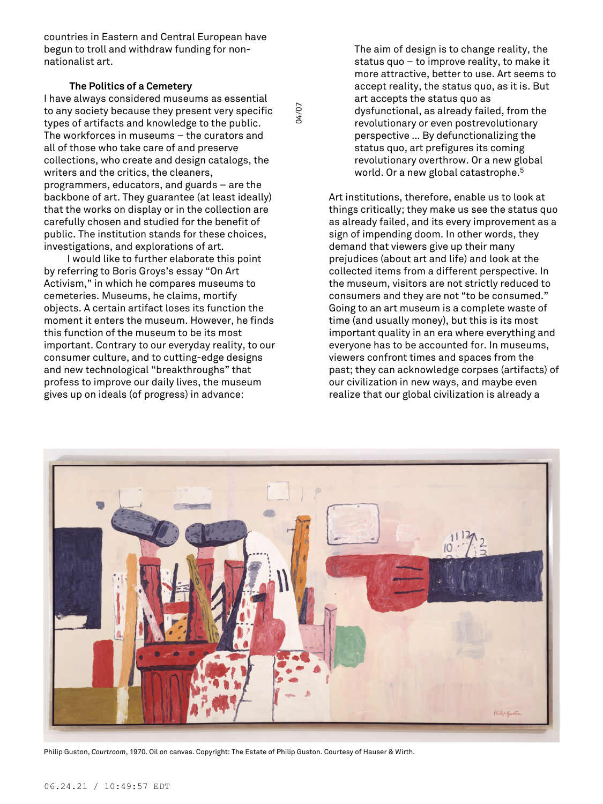countries in Eastern and Central European have begun to troll and withdraw funding for nonnationalist art.

# **The Politics of a Cemetery**

I have always considered museums as essential to any society because they present very specific types of artifacts and knowledge to the public. The workforces in museums – the curators and all of those who take care of and preserve collections, who create and design catalogs, the writers and the critics, the cleaners, programmers, educators, and guards – are the backbone of art. They guarantee (at least ideally) that the works on display or in the collection are carefully chosen and studied for the benefit of public. The institution stands for these choices, investigations, and explorations of art.

I would like to further elaborate this point by referring to Boris Groys's essay "On Art Activism," in which he compares museums to cemeteries. Museums, he claims, mortify objects. A certain artifact loses its function the moment it enters the museum. However, he finds this function of the museum to be its most important. Contrary to our everyday reality, to our consumer culture, and to cutting-edge designs and new technological "breakthroughs" that profess to improve our daily lives, the museum gives up on ideals (of progress) in advance:

The aim of design is to change reality, the status quo – to improve reality, to make it more attractive, better to use. Art seems to accept reality, the status quo, as it is. But art accepts the status quo as dysfunctional, as already failed, from the revolutionary or even postrevolutionary perspective … By defunctionalizing the status quo, art prefigures its coming revolutionary overthrow. Or a new global world. Or a new global catastrophe. 5

Art institutions, therefore, enable us to look at things critically; they make us see the status quo as already failed, and its every improvement as a sign of impending doom. In other words, they demand that viewers give up their many prejudices (about art and life) and look at the collected items from a different perspective. In the museum, visitors are not strictly reduced to consumers and they are not "to be consumed." Going to an art museum is a complete waste of time (and usually money), but this is its most important quality in an era where everything and everyone has to be accounted for. In museums, viewers confront times and spaces from the past; they can acknowledge corpses (artifacts) of our civilization in new ways, and maybe even realize that our global civilization is already a



04/07

Philip Guston, *Courtroom*, 1970. Oil on canvas. Copyright: The Estate of Philip Guston. Courtesy of Hauser & Wirth.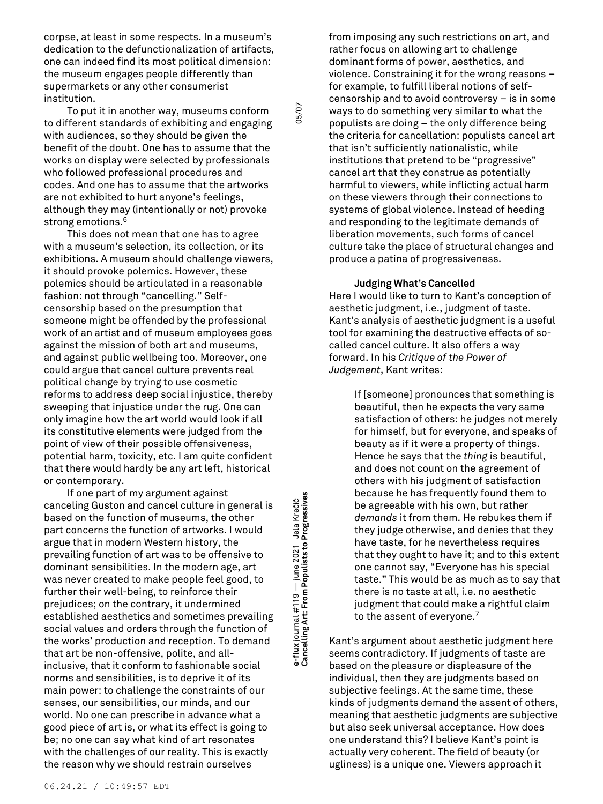corpse, at least in some respects. In a museum's dedication to the defunctionalization of artifacts, one can indeed find its most political dimension: the museum engages people differently than supermarkets or any other consumerist institution.

To put it in another way, museums conform to different standards of exhibiting and engaging with audiences, so they should be given the benefit of the doubt. One has to assume that the works on display were selected by professionals who followed professional procedures and codes. And one has to assume that the artworks are not exhibited to hurt anyone's feelings, although they may (intentionally or not) provoke strong emotions. 6

This does not mean that one has to agree with a museum's selection, its collection, or its exhibitions. A museum should challenge viewers, it should provoke polemics. However, these polemics should be articulated in a reasonable fashion: not through "cancelling." Selfcensorship based on the presumption that someone might be offended by the professional work of an artist and of museum employees goes against the mission of both art and museums, and against public wellbeing too. Moreover, one could argue that cancel culture prevents real political change by trying to use cosmetic reforms to address deep social injustice, thereby sweeping that injustice under the rug. One can only imagine how the art world would look if all its constitutive elements were judged from the point of view of their possible offensiveness, potential harm, toxicity, etc. I am quite confident that there would hardly be any art left, historical or contemporary.

If one part of my argument against canceling Guston and cancel culture in general is based on the function of museums, the other part concerns the function of artworks. I would argue that in modern Western history, the prevailing function of art was to be offensive to dominant sensibilities. In the modern age, art was never created to make people feel good, to further their well-being, to reinforce their prejudices; on the contrary, it undermined established aesthetics and sometimes prevailing social values and orders through the function of the works' production and reception. To demand that art be non-offensive, polite, and allinclusive, that it conform to fashionable social norms and sensibilities, is to deprive it of its main power: to challenge the constraints of our senses, our sensibilities, our minds, and our world. No one can prescribe in advance what a good piece of art is, or what its effect is going to be; no one can say what kind of art resonates with the challenges of our reality. This is exactly the reason why we should restrain ourselves

**Cancelling Art: From Populists to Progressives** 05/07 e-flux journal #119 — june 2021 Jela Krečič<br>Cancelling Art: From Populists to Progressives **e-flux** journal #119 — june 2021 Jela Krečič

05/07

from imposing any such restrictions on art, and rather focus on allowing art to challenge dominant forms of power, aesthetics, and violence. Constraining it for the wrong reasons – for example, to fulfill liberal notions of selfcensorship and to avoid controversy – is in some ways to do something very similar to what the populists are doing – the only difference being the criteria for cancellation: populists cancel art that isn't sufficiently nationalistic, while institutions that pretend to be "progressive" cancel art that they construe as potentially harmful to viewers, while inflicting actual harm on these viewers through their connections to systems of global violence. Instead of heeding and responding to the legitimate demands of liberation movements, such forms of cancel culture take the place of structural changes and produce a patina of progressiveness.

## **Judging What's Cancelled**

Here I would like to turn to Kant's conception of aesthetic judgment, i.e., judgment of taste. Kant's analysis of aesthetic judgment is a useful tool for examining the destructive effects of socalled cancel culture. It also offers a way forward. In his *Critique of the Power of Judgement*, Kant writes:

> If [someone] pronounces that something is beautiful, then he expects the very same satisfaction of others: he judges not merely for himself, but for everyone, and speaks of beauty as if it were a property of things. Hence he says that the *thing* is beautiful, and does not count on the agreement of others with his judgment of satisfaction because he has frequently found them to be agreeable with his own, but rather *demands* it from them. He rebukes them if they judge otherwise, and denies that they have taste, for he nevertheless requires that they ought to have it; and to this extent one cannot say, "Everyone has his special taste." This would be as much as to say that there is no taste at all, i.e. no aesthetic judgment that could make a rightful claim to the assent of everyone. 7

Kant's argument about aesthetic judgment here seems contradictory. If judgments of taste are based on the pleasure or displeasure of the individual, then they are judgments based on subjective feelings. At the same time, these kinds of judgments demand the assent of others, meaning that aesthetic judgments are subjective but also seek universal acceptance. How does one understand this? I believe Kant's point is actually very coherent. The field of beauty (or ugliness) is a unique one. Viewers approach it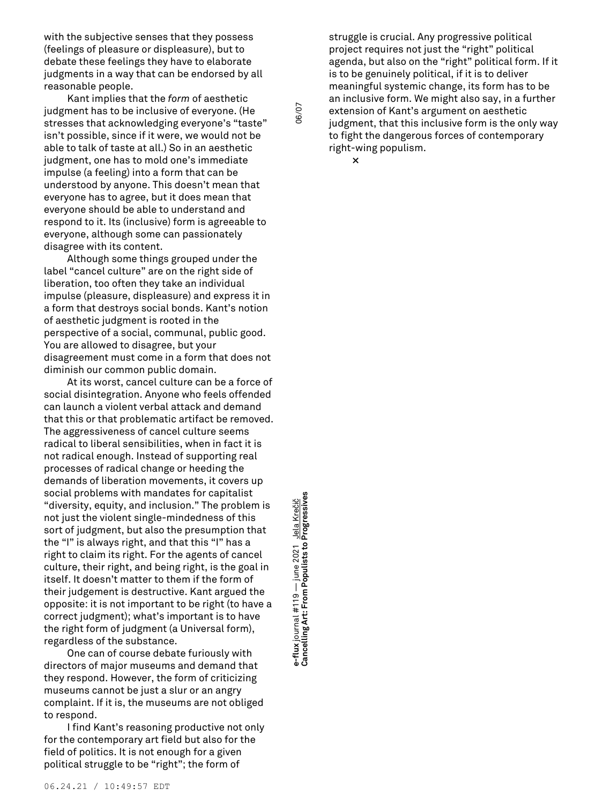with the subjective senses that they possess (feelings of pleasure or displeasure), but to debate these feelings they have to elaborate judgments in a way that can be endorsed by all reasonable people.

Kant implies that the *form* of aesthetic judgment has to be inclusive of everyone. (He stresses that acknowledging everyone's "taste" isn't possible, since if it were, we would not be able to talk of taste at all.) So in an aesthetic judgment, one has to mold one's immediate impulse (a feeling) into a form that can be understood by anyone. This doesn't mean that everyone has to agree, but it does mean that everyone should be able to understand and respond to it. Its (inclusive) form is agreeable to everyone, although some can passionately disagree with its content.

Although some things grouped under the label "cancel culture" are on the right side of liberation, too often they take an individual impulse (pleasure, displeasure) and express it in a form that destroys social bonds. Kant's notion of aesthetic judgment is rooted in the perspective of a social, communal, public good. You are allowed to disagree, but your disagreement must come in a form that does not diminish our common public domain.

At its worst, cancel culture can be a force of social disintegration. Anyone who feels offended can launch a violent verbal attack and demand that this or that problematic artifact be removed. The aggressiveness of cancel culture seems radical to liberal sensibilities, when in fact it is not radical enough. Instead of supporting real processes of radical change or heeding the demands of liberation movements, it covers up social problems with mandates for capitalist "diversity, equity, and inclusion." The problem is not just the violent single-mindedness of this sort of judgment, but also the presumption that the "I" is always right, and that this "I" has a right to claim its right. For the agents of cancel culture, their right, and being right, is the goal in itself. It doesn't matter to them if the form of their judgement is destructive. Kant argued the opposite: it is not important to be right (to have a correct judgment); what's important is to have the right form of judgment (a Universal form), regardless of the substance.

One can of course debate furiously with directors of major museums and demand that they respond. However, the form of criticizing museums cannot be just a slur or an angry complaint. If it is, the museums are not obliged to respond.

I find Kant's reasoning productive not only for the contemporary art field but also for the field of politics. It is not enough for a given political struggle to be "right"; the form of

**Cancelling Art: From Populists to Progressives** 06/07 e-flux journal #119 — june 2021 <u>Jela Krečič</u><br>Cancelling Art: From Populists to Progressives **e-flux** journal #119 — june 2021 Jela Krečič

struggle is crucial. Any progressive political project requires not just the "right" political agenda, but also on the "right" political form. If it is to be genuinely political, if it is to deliver meaningful systemic change, its form has to be an inclusive form. We might also say, in a further extension of Kant's argument on aesthetic judgment, that this inclusive form is the only way to fight the dangerous forces of contemporary right-wing populism.

**×**

06/07